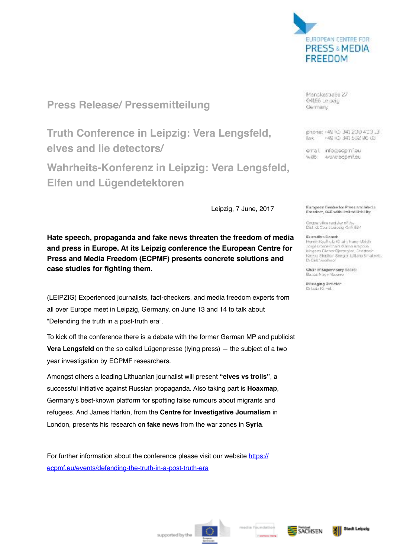

**Press Release/ Pressemitteilung**

**Truth Conference in Leipzig: Vera Lengsfeld, elves and lie detectors/**

**Wahrheits-Konferenz in Leipzig: Vera Lengsfeld, Elfen und Lügendetektoren** 

Leipzig, 7 June, 2017

**Hate speech, propaganda and fake news threaten the freedom of media and press in Europe. At its Leipzig conference the European Centre for Press and Media Freedom (ECPMF) presents concrete solutions and case studies for fighting them.**

(LEIPZIG) Experienced journalists, fact-checkers, and media freedom experts from all over Europe meet in Leipzig, Germany, on June 13 and 14 to talk about "Defending the truth in a post-truth era".

To kick off the conference there is a debate with the former German MP and publicist **Vera Lengsfeld** on the so called Lügenpresse (lying press) — the subject of a two year investigation by ECPMF researchers.

Amongst others a leading Lithuanian journalist will present **"elves vs trolls"**, a successful initiative against Russian propaganda. Also taking part is **Hoaxmap**, Germany's best-known platform for spotting false rumours about migrants and refugees. And James Harkin, from the **Centre for Investigative Journalism** in London, presents his research on **fake news** from the war zones in **Syria**.

For further information about the conference please visit our website [https://](https://ecpmf.eu/events/defending-the-truth-in-a-post-truth-era) [ecpmf.eu/events/defending-the-truth-in-a-post-truth-era](https://ecpmf.eu/events/defending-the-truth-in-a-post-truth-era)

ManckesbaBa 27 O4166 Le ozio Germany

phone: +49 (0) 341 200 403 13 +49 (0) 341 502 96 03 fax:

email info@ecpinileu web: www.ecomEeu

European Coulte for Press and Media. Freedom, 6GF with United Utbilty

Oxpentive register of the<br>District Court Leipzig GrR 534

Executive Report: Herris Raufhulz (Cluin, Fune-Uziuli)<br>Joses Gioe Charls Galina Amposo<br>Mogens Clicher Oerregino, Christino Mogers Clicher Elemegint, Record Stephen Spegan Lillians Smallovic. Dr Pét Singham

Chair of Supervisory Boards

Minaging Unidian Dr Lutz Ki wall